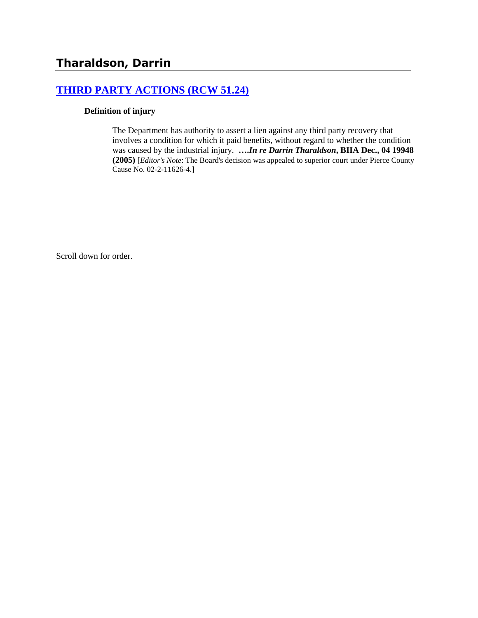## **[THIRD PARTY ACTIONS \(RCW 51.24\)](http://www.biia.wa.gov/SDSubjectIndex.html#THIRD_PARTY_ACTIONS)**

#### **Definition of injury**

The Department has authority to assert a lien against any third party recovery that involves a condition for which it paid benefits, without regard to whether the condition was caused by the industrial injury. **….***In re Darrin Tharaldson***, BIIA Dec., 04 19948 (2005)** [*Editor's Note*: The Board's decision was appealed to superior court under Pierce County Cause No. 02-2-11626-4.]

Scroll down for order.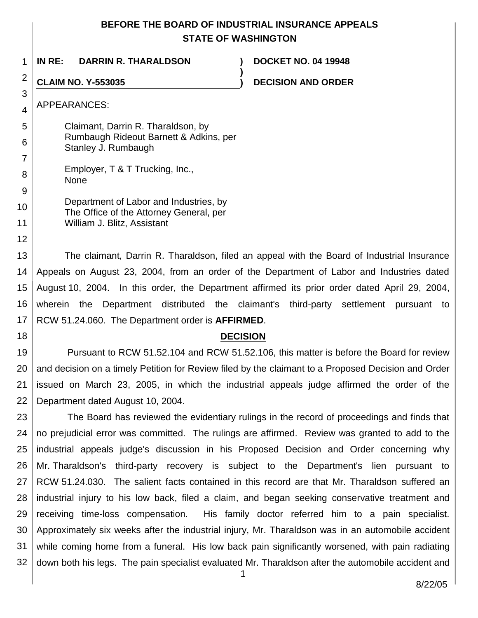## **BEFORE THE BOARD OF INDUSTRIAL INSURANCE APPEALS STATE OF WASHINGTON**

**)**

1 **IN RE: DARRIN R. THARALDSON ) DOCKET NO. 04 19948**

# 2

**CLAIM NO. Y-553035 ) DECISION AND ORDER**

APPEARANCES:

3

4

8  $\mathsf{Q}$ 

12

18

5 6 7 Claimant, Darrin R. Tharaldson, by Rumbaugh Rideout Barnett & Adkins, per Stanley J. Rumbaugh

Employer, T & T Trucking, Inc., None

| $\sim$ 1 |                                         |
|----------|-----------------------------------------|
| 10       | Department of Labor and Industries, by  |
|          | The Office of the Attorney General, per |
| 11       | William J. Blitz, Assistant             |

13 14 15 16 17 The claimant, Darrin R. Tharaldson, filed an appeal with the Board of Industrial Insurance Appeals on August 23, 2004, from an order of the Department of Labor and Industries dated August 10, 2004. In this order, the Department affirmed its prior order dated April 29, 2004, wherein the Department distributed the claimant's third-party settlement pursuant to RCW 51.24.060. The Department order is **AFFIRMED**.

**DECISION**

19 20 21 22 Pursuant to RCW 51.52.104 and RCW 51.52.106, this matter is before the Board for review and decision on a timely Petition for Review filed by the claimant to a Proposed Decision and Order issued on March 23, 2005, in which the industrial appeals judge affirmed the order of the Department dated August 10, 2004.

23 24 25 26 27 28 29 30 31 32 The Board has reviewed the evidentiary rulings in the record of proceedings and finds that no prejudicial error was committed. The rulings are affirmed. Review was granted to add to the industrial appeals judge's discussion in his Proposed Decision and Order concerning why Mr. Tharaldson's third-party recovery is subject to the Department's lien pursuant to RCW 51.24.030. The salient facts contained in this record are that Mr. Tharaldson suffered an industrial injury to his low back, filed a claim, and began seeking conservative treatment and receiving time-loss compensation. His family doctor referred him to a pain specialist. Approximately six weeks after the industrial injury, Mr. Tharaldson was in an automobile accident while coming home from a funeral. His low back pain significantly worsened, with pain radiating down both his legs. The pain specialist evaluated Mr. Tharaldson after the automobile accident and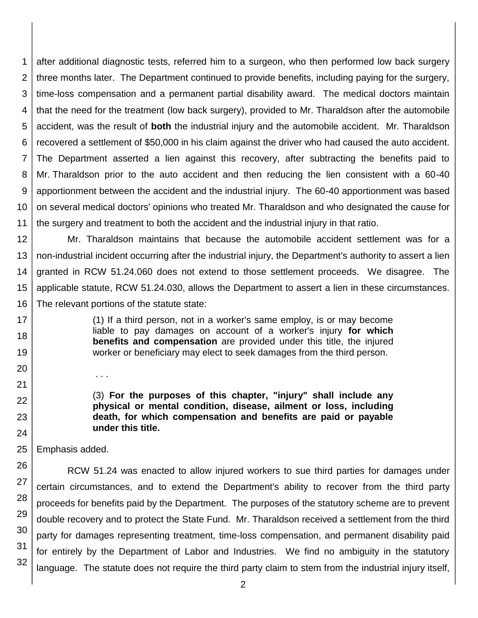1 2 3 4 5 6 7 8 9 10 11 after additional diagnostic tests, referred him to a surgeon, who then performed low back surgery three months later. The Department continued to provide benefits, including paying for the surgery, time-loss compensation and a permanent partial disability award. The medical doctors maintain that the need for the treatment (low back surgery), provided to Mr. Tharaldson after the automobile accident, was the result of **both** the industrial injury and the automobile accident. Mr. Tharaldson recovered a settlement of \$50,000 in his claim against the driver who had caused the auto accident. The Department asserted a lien against this recovery, after subtracting the benefits paid to Mr. Tharaldson prior to the auto accident and then reducing the lien consistent with a 60-40 apportionment between the accident and the industrial injury. The 60-40 apportionment was based on several medical doctors' opinions who treated Mr. Tharaldson and who designated the cause for the surgery and treatment to both the accident and the industrial injury in that ratio.

12 13 14 15 16 Mr. Tharaldson maintains that because the automobile accident settlement was for a non-industrial incident occurring after the industrial injury, the Department's authority to assert a lien granted in RCW 51.24.060 does not extend to those settlement proceeds. We disagree. The applicable statute, RCW 51.24.030, allows the Department to assert a lien in these circumstances. The relevant portions of the statute state:

- (1) If a third person, not in a worker's same employ, is or may become liable to pay damages on account of a worker's injury **for which benefits and compensation** are provided under this title, the injured worker or beneficiary may elect to seek damages from the third person.
- 

. . .

17 18

19

20

21 22

23

24

(3) **For the purposes of this chapter, "injury" shall include any physical or mental condition, disease, ailment or loss, including death, for which compensation and benefits are paid or payable under this title.**

25 Emphasis added.

26 27 28 29 30 31 32 RCW 51.24 was enacted to allow injured workers to sue third parties for damages under certain circumstances, and to extend the Department's ability to recover from the third party proceeds for benefits paid by the Department. The purposes of the statutory scheme are to prevent double recovery and to protect the State Fund. Mr. Tharaldson received a settlement from the third party for damages representing treatment, time-loss compensation, and permanent disability paid for entirely by the Department of Labor and Industries. We find no ambiguity in the statutory language. The statute does not require the third party claim to stem from the industrial injury itself,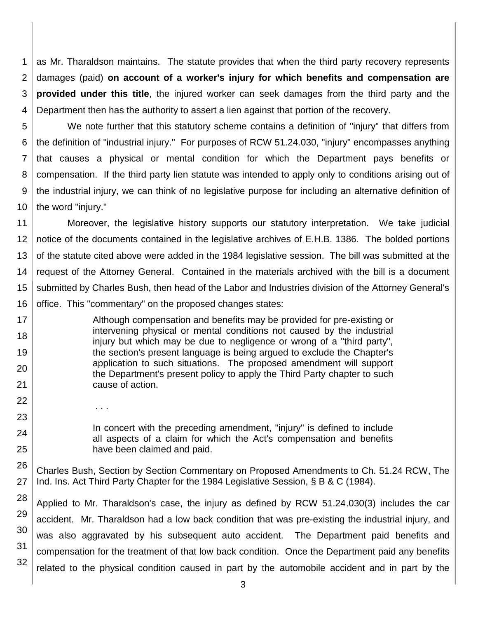1 2 3 4 as Mr. Tharaldson maintains. The statute provides that when the third party recovery represents damages (paid) **on account of a worker's injury for which benefits and compensation are provided under this title**, the injured worker can seek damages from the third party and the Department then has the authority to assert a lien against that portion of the recovery.

5 6 7 8 9 10 We note further that this statutory scheme contains a definition of "injury" that differs from the definition of "industrial injury." For purposes of RCW 51.24.030, "injury" encompasses anything that causes a physical or mental condition for which the Department pays benefits or compensation. If the third party lien statute was intended to apply only to conditions arising out of the industrial injury, we can think of no legislative purpose for including an alternative definition of the word "injury."

11 12 13 14 15 16 Moreover, the legislative history supports our statutory interpretation. We take judicial notice of the documents contained in the legislative archives of E.H.B. 1386. The bolded portions of the statute cited above were added in the 1984 legislative session. The bill was submitted at the request of the Attorney General. Contained in the materials archived with the bill is a document submitted by Charles Bush, then head of the Labor and Industries division of the Attorney General's office. This "commentary" on the proposed changes states:

Although compensation and benefits may be provided for pre-existing or intervening physical or mental conditions not caused by the industrial injury but which may be due to negligence or wrong of a "third party", the section's present language is being argued to exclude the Chapter's application to such situations. The proposed amendment will support the Department's present policy to apply the Third Party chapter to such cause of action.

. . .

17 18

19

20

21 22

23

24 25 In concert with the preceding amendment, "injury" is defined to include all aspects of a claim for which the Act's compensation and benefits have been claimed and paid.

26 27 Charles Bush, Section by Section Commentary on Proposed Amendments to Ch. 51.24 RCW, The Ind. Ins. Act Third Party Chapter for the 1984 Legislative Session, § B & C (1984).

28 29 30 31 32 Applied to Mr. Tharaldson's case, the injury as defined by RCW 51.24.030(3) includes the car accident. Mr. Tharaldson had a low back condition that was pre-existing the industrial injury, and was also aggravated by his subsequent auto accident. The Department paid benefits and compensation for the treatment of that low back condition. Once the Department paid any benefits related to the physical condition caused in part by the automobile accident and in part by the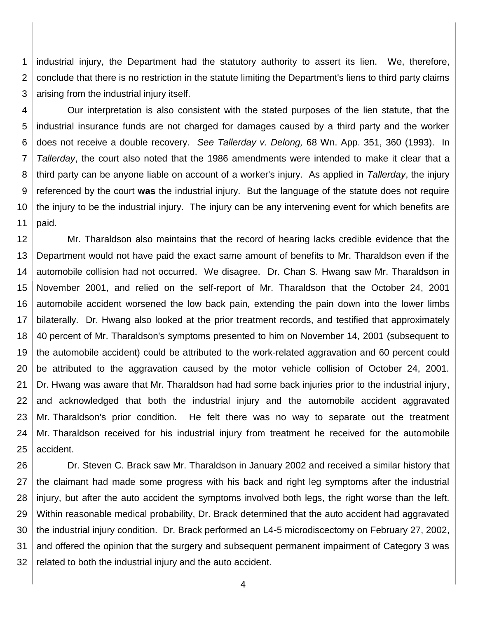1 2 3 industrial injury, the Department had the statutory authority to assert its lien. We, therefore, conclude that there is no restriction in the statute limiting the Department's liens to third party claims arising from the industrial injury itself.

4 5 6 7 8 9 10 11 Our interpretation is also consistent with the stated purposes of the lien statute, that the industrial insurance funds are not charged for damages caused by a third party and the worker does not receive a double recovery. *See Tallerday v. Delong,* 68 Wn. App. 351, 360 (1993). In *Tallerday*, the court also noted that the 1986 amendments were intended to make it clear that a third party can be anyone liable on account of a worker's injury. As applied in *Tallerday*, the injury referenced by the court **was** the industrial injury. But the language of the statute does not require the injury to be the industrial injury. The injury can be any intervening event for which benefits are paid.

12 13 14 15 16 17 18 19 20 21 22 23 24 25 Mr. Tharaldson also maintains that the record of hearing lacks credible evidence that the Department would not have paid the exact same amount of benefits to Mr. Tharaldson even if the automobile collision had not occurred. We disagree. Dr. Chan S. Hwang saw Mr. Tharaldson in November 2001, and relied on the self-report of Mr. Tharaldson that the October 24, 2001 automobile accident worsened the low back pain, extending the pain down into the lower limbs bilaterally. Dr. Hwang also looked at the prior treatment records, and testified that approximately 40 percent of Mr. Tharaldson's symptoms presented to him on November 14, 2001 (subsequent to the automobile accident) could be attributed to the work-related aggravation and 60 percent could be attributed to the aggravation caused by the motor vehicle collision of October 24, 2001. Dr. Hwang was aware that Mr. Tharaldson had had some back injuries prior to the industrial injury, and acknowledged that both the industrial injury and the automobile accident aggravated Mr. Tharaldson's prior condition. He felt there was no way to separate out the treatment Mr. Tharaldson received for his industrial injury from treatment he received for the automobile accident.

26 27 28 29 30 31 32 Dr. Steven C. Brack saw Mr. Tharaldson in January 2002 and received a similar history that the claimant had made some progress with his back and right leg symptoms after the industrial injury, but after the auto accident the symptoms involved both legs, the right worse than the left. Within reasonable medical probability, Dr. Brack determined that the auto accident had aggravated the industrial injury condition. Dr. Brack performed an L4-5 microdiscectomy on February 27, 2002, and offered the opinion that the surgery and subsequent permanent impairment of Category 3 was related to both the industrial injury and the auto accident.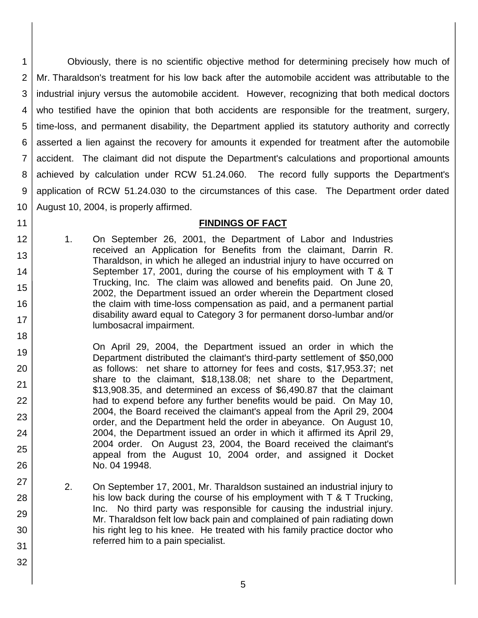1 2 3 4 5 6 7 8 9 10 Obviously, there is no scientific objective method for determining precisely how much of Mr. Tharaldson's treatment for his low back after the automobile accident was attributable to the industrial injury versus the automobile accident. However, recognizing that both medical doctors who testified have the opinion that both accidents are responsible for the treatment, surgery, time-loss, and permanent disability, the Department applied its statutory authority and correctly asserted a lien against the recovery for amounts it expended for treatment after the automobile accident. The claimant did not dispute the Department's calculations and proportional amounts achieved by calculation under RCW 51.24.060. The record fully supports the Department's application of RCW 51.24.030 to the circumstances of this case. The Department order dated August 10, 2004, is properly affirmed.

## **FINDINGS OF FACT**

- 1. On September 26, 2001, the Department of Labor and Industries received an Application for Benefits from the claimant, Darrin R. Tharaldson, in which he alleged an industrial injury to have occurred on September 17, 2001, during the course of his employment with T & T Trucking, Inc. The claim was allowed and benefits paid. On June 20, 2002, the Department issued an order wherein the Department closed the claim with time-loss compensation as paid, and a permanent partial disability award equal to Category 3 for permanent dorso-lumbar and/or lumbosacral impairment.
- 19 20 21 22 23 24 25 26 On April 29, 2004, the Department issued an order in which the Department distributed the claimant's third-party settlement of \$50,000 as follows: net share to attorney for fees and costs, \$17,953.37; net share to the claimant, \$18,138.08; net share to the Department, \$13,908.35, and determined an excess of \$6,490.87 that the claimant had to expend before any further benefits would be paid. On May 10, 2004, the Board received the claimant's appeal from the April 29, 2004 order, and the Department held the order in abeyance. On August 10, 2004, the Department issued an order in which it affirmed its April 29, 2004 order. On August 23, 2004, the Board received the claimant's appeal from the August 10, 2004 order, and assigned it Docket No. 04 19948.
	- 2. On September 17, 2001, Mr. Tharaldson sustained an industrial injury to his low back during the course of his employment with T & T Trucking, Inc. No third party was responsible for causing the industrial injury. Mr. Tharaldson felt low back pain and complained of pain radiating down his right leg to his knee. He treated with his family practice doctor who referred him to a pain specialist.

11 12

13

14

15

16

17

18

27

28

29

30

31